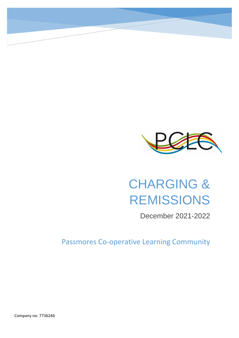

# CHARGING & REMISSIONS

December 2021-2022

Passmores Co-operative Learning Community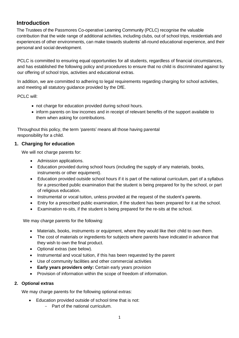# **Introduction**

The Trustees of the Passmores Co-operative Learning Community (PCLC) recognise the valuable contribution that the wide range of additional activities, including clubs, out of school trips, residentials and experiences of other environments, can make towards students' all-round educational experience, and their personal and social development.

PCLC is committed to ensuring equal opportunities for all students, regardless of financial circumstances, and has established the following policy and procedures to ensure that no child is discriminated against by our offering of school trips, activities and educational extras.

In addition, we are committed to adhering to legal requirements regarding charging for school activities, and meeting all statutory guidance provided by the DfE.

PCLC will:

- not charge for education provided during school hours.
- inform parents on low incomes and in receipt of relevant benefits of the support available to them when asking for contributions.

Throughout this policy, the term 'parents' means all those having parental responsibility for a child.

# **1. Charging for education**

We will not charge parents for:

- Admission applications.
- Education provided during school hours (including the supply of any materials, books, instruments or other equipment).
- Education provided outside school hours if it is part of the national curriculum, part of a syllabus for a prescribed public examination that the student is being prepared for by the school, or part of religious education.
- Instrumental or vocal tuition, unless provided at the request of the student's parents.
- Entry for a prescribed public examination, if the student has been prepared for it at the school.
- Examination re-sits, if the student is being prepared for the re-sits at the school.

We may charge parents for the following:

- Materials, books, instruments or equipment, where they would like their child to own them.
- The cost of materials or ingredients for subjects where parents have indicated in advance that they wish to own the final product.
- [Optional extras](#page-1-0) (see below).
- Instrumental and vocal tuition, if this has been requested by the parent
- Use of community facilities and other commercial activities
- **Early years providers only:** Certain early years provision
- Provision of information within the scope of freedom of information.

#### <span id="page-1-0"></span>**2. Optional extras**

We may charge parents for the following optional extras:

- Education provided outside of school time that is not:
	- Part of the national curriculum.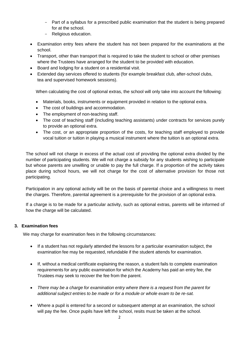- Part of a syllabus for a prescribed public examination that the student is being prepared for at the school.
- Religious education.
- Examination entry fees where the student has not been prepared for the examinations at the school.
- Transport, other than transport that is required to take the student to school or other premises where the Trustees have arranged for the student to be provided with education.
- Board and lodging for a student on a residential visit.
- Extended day services offered to students (for example breakfast club, after-school clubs, tea and supervised homework sessions).

When calculating the cost of optional extras, the school will only take into account the following:

- Materials, books, instruments or equipment provided in relation to the optional extra.
- The cost of buildings and accommodation.
- The employment of non-teaching staff.
- The cost of teaching staff (including teaching assistants) under contracts for services purely to provide an optional extra.
- The cost, or an appropriate proportion of the costs, for teaching staff employed to provide vocal tuition or tuition in playing a musical instrument where the tuition is an optional extra.

The school will not charge in excess of the actual cost of providing the optional extra divided by the number of participating students. We will not charge a subsidy for any students wishing to participate but whose parents are unwilling or unable to pay the full charge. If a proportion of the activity takes place during school hours, we will not charge for the cost of alternative provision for those not participating.

Participation in any optional activity will be on the basis of parental choice and a willingness to meet the charges. Therefore, parental agreement is a prerequisite for the provision of an optional extra.

If a charge is to be made for a particular activity, such as optional extras, parents will be informed of how the charge will be calculated.

#### **3. Examination fees**

We may charge for examination fees in the following circumstances:

- If a student has not regularly attended the lessons for a particular examination subject, the examination fee may be requested, refundable if the student attends for examination.
- If, without a medical certificate explaining the reason, a student fails to complete examination requirements for any public examination for which the Academy has paid an entry fee, the Trustees may seek to recover the fee from the parent.
- *There may be a charge for examination entry where there is a request from the parent for additional subject entries to be made or for a module or whole exam to be re-sat.*
- Where a pupil is entered for a second or subsequent attempt at an examination, the school will pay the fee. Once pupils have left the school, resits must be taken at the school.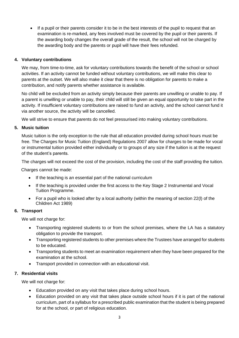• If a pupil or their parents consider it to be in the best interests of the pupil to request that an examination is re-marked, any fees involved must be covered by the pupil or their parents. If the awarding body changes the overall grade of the result, the school will not be charged by the awarding body and the parents or pupil will have their fees refunded.

## **4. Voluntary contributions**

We may, from time-to-time, ask for voluntary contributions towards the benefit of the school or school activities. If an activity cannot be funded without voluntary contributions, we will make this clear to parents at the outset. We will also make it clear that there is no obligation for parents to make a contribution, and notify parents whether assistance is available.

No child will be excluded from an activity simply because their parents are unwilling or unable to pay. If a parent is unwilling or unable to pay, their child will still be given an equal opportunity to take part in the activity. If insufficient voluntary contributions are raised to fund an activity, and the school cannot fund it via another source, the activity will be cancelled.

We will strive to ensure that parents do not feel pressurised into making voluntary contributions.

#### **5. Music tuition**

Music tuition is the only exception to the rule that all education provided during school hours must be free. The Charges for Music Tuition (England) Regulations 2007 allow for charges to be made for vocal or instrumental tuition provided either individually or to groups of any size if the tuition is at the request of the student's parents.

The charges will not exceed the cost of the provision, including the cost of the staff providing the tuition.

Charges cannot be made:

- If the teaching is an essential part of the national curriculum
- If the teaching is provided under the first access to the Key Stage 2 Instrumental and Vocal Tuition Programme.
- For a pupil who is looked after by a local authority (within the meaning of section 22(l) of the Children Act 1989)

#### **6. Transport**

We will not charge for:

- Transporting registered students to or from the school premises, where the LA has a statutory obligation to provide the transport.
- Transporting registered students to other premises where the Trustees have arranged for students to be educated.
- Transporting students to meet an examination requirement when they have been prepared for the examination at the school.
- Transport provided in connection with an educational visit.

#### **7. Residential visits**

We will not charge for:

- Education provided on any visit that takes place during school hours.
- Education provided on any visit that takes place outside school hours if it is part of the national curriculum, part of a syllabus for a prescribed public examination that the student is being prepared for at the school, or part of religious education.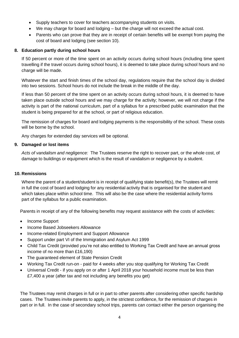- Supply teachers to cover for teachers accompanying students on visits.
- We may charge for board and lodging but the charge will not exceed the actual cost.
- Parents who can prove that they are in receipt of certain benefits will be exempt from paying the cost of board and lodging (see section 10).

#### **8. Education partly during school hours**

If 50 percent or more of the time spent on an activity occurs during school hours (including time spent travelling if the travel occurs during school hours), it is deemed to take place during school hours and no charge will be made.

Whatever the start and finish times of the school day, regulations require that the school day is divided into two sessions. School hours do not include the break in the middle of the day.

If less than 50 percent of the time spent on an activity occurs during school hours, it is deemed to have taken place outside school hours and we may charge for the activity; however, we will not charge if the activity is part of the national curriculum, part of a syllabus for a prescribed public examination that the student is being prepared for at the school, or part of religious education.

The remission of charges for board and lodging payments is the responsibility of the school. These costs will be borne by the school.

Any charges for extended day services will be optional.

#### **9. Damaged or lost items**

*Acts of vandalism and negligence:* The Trustees reserve the right to recover part, or the whole cost, of damage to buildings or equipment which is the result of vandalism or negligence by a student.

#### **10. Remissions**

Where the parent of a student/student is in receipt of qualifying state benefit(s), the Trustees will remit in full the cost of board and lodging for any residential activity that is organised for the student and which takes place within school time. This will also be the case where the residential activity forms part of the syllabus for a public examination.

Parents in receipt of any of the following benefits may request assistance with the costs of activities:

- Income Support
- Income Based Jobseekers Allowance
- Income-related Employment and Support Allowance
- Support under part VI of the Immigration and Asylum Act 1999
- Child Tax Credit (provided you're not also entitled to Working Tax Credit and have an annual gross income of no more than £16,190)
- The guaranteed element of State Pension Credit
- Working Tax Credit run-on paid for 4 weeks after you stop qualifying for Working Tax Credit
- Universal Credit if you apply on or after 1 April 2018 your household income must be less than £7,400 a year (after tax and not including any benefits you get)

The Trustees may remit charges in full or in part to other parents after considering other specific hardship cases. The Trustees invite parents to apply, in the strictest confidence, for the remission of charges in part or in full. In the case of secondary school trips, parents can contact either the person organising the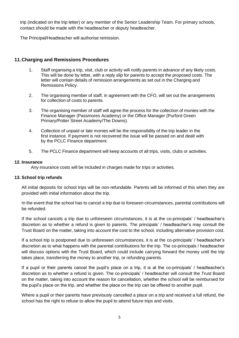trip (indicated on the trip letter) or any member of the Senior Leadership Team. For primary schools, contact should be made with the headteacher or deputy headteacher.

The Principal/Headteacher will authorise remission.

## **11.Charging and Remissions Procedures**

- 1. Staff organising a trip, visit, club or activity will notify parents in advance of any likely costs. This will be done by letter, with a reply slip for parents to accept the proposed costs. The letter will contain details of remission arrangements as set out in the Charging and Remissions Policy.
- 2. The organising member of staff, in agreement with the CFO, will set out the arrangements for collection of costs to parents.
- 3. The organising member of staff will agree the process for the collection of monies with the Finance Manager (Passmores Academy) or the Office Manager (Purford Green Primary/Potter Street Academy/The Downs).
- 4. Collection of unpaid or late monies will be the responsibility of the trip leader in the first instance. If payment is not recovered the issue will be passed on and dealt with by the PCLC Finance department.
- 5. The PCLC Finance department will keep accounts of all trips, visits, clubs or activities.

#### **12. Insurance**

Any insurance costs will be included in charges made for trips or activities.

#### **13. School trip refunds**

All initial deposits for school trips will be non-refundable. Parents will be informed of this when they are provided with initial information about the trip.

In the event that the school has to cancel a trip due to foreseen circumstances, parental contributions will be refunded.

If the school cancels a trip due to unforeseen circumstances, it is at the co-principals' / headteacher's discretion as to whether a refund is given to parents. The principals' / headteacher's may consult the Trust Board on the matter, taking into account the cost to the school, including alternative provision cost.

If a school trip is postponed due to unforeseen circumstances, it is at the co-principals' / headteacher's discretion as to what happens with the parental contributions for the trip. The co-principals / headteacher will discuss options with the Trust Board, which could include carrying forward the money until the trip takes place, transferring the money to another trip, or refunding parents.

If a pupil or their parents cancel the pupil's place on a trip, it is at the co-principals' / headteacher's discretion as to whether a refund is given. The co-principals' / headteacher will consult the Trust Board on the matter, taking into account the reason for cancellation, whether the school will be reimbursed for the pupil's place on the trip, and whether the place on the trip can be offered to another pupil.

Where a pupil or their parents have previously cancelled a place on a trip and received a full refund, the school has the right to refuse to allow the pupil to attend future trips and visits.